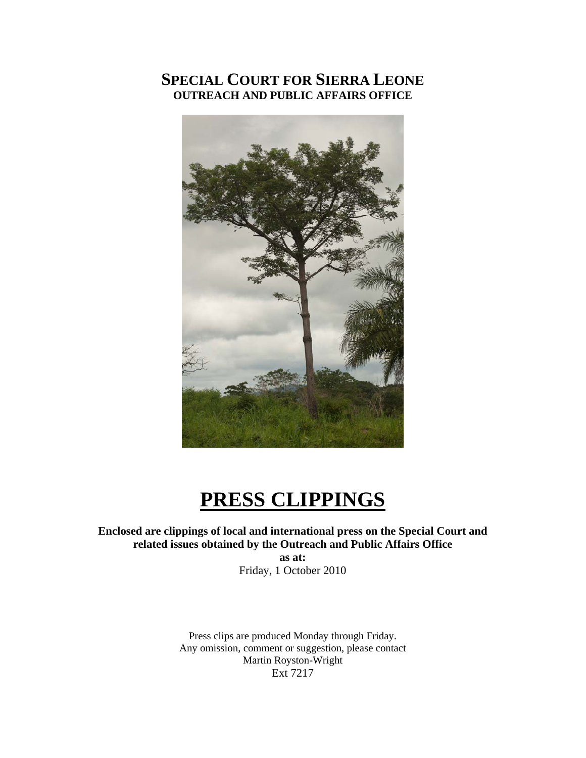# **SPECIAL COURT FOR SIERRA LEONE OUTREACH AND PUBLIC AFFAIRS OFFICE**



# **PRESS CLIPPINGS**

**Enclosed are clippings of local and international press on the Special Court and related issues obtained by the Outreach and Public Affairs Office** 

**as at:**  Friday, 1 October 2010

Press clips are produced Monday through Friday. Any omission, comment or suggestion, please contact Martin Royston-Wright Ext 7217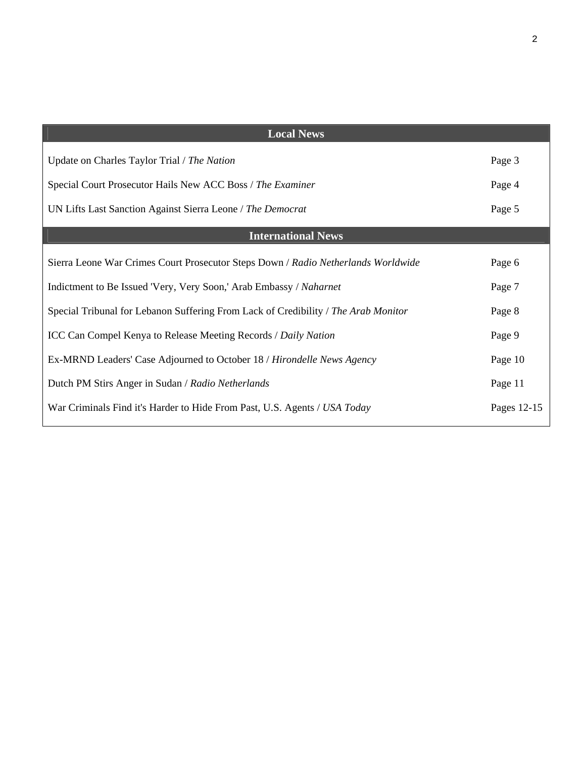| <b>Local News</b>                                                                  |             |
|------------------------------------------------------------------------------------|-------------|
| Update on Charles Taylor Trial / The Nation                                        | Page 3      |
| Special Court Prosecutor Hails New ACC Boss / The Examiner                         | Page 4      |
| UN Lifts Last Sanction Against Sierra Leone / The Democrat                         | Page 5      |
| <b>International News</b>                                                          |             |
| Sierra Leone War Crimes Court Prosecutor Steps Down / Radio Netherlands Worldwide  | Page 6      |
| Indictment to Be Issued 'Very, Very Soon,' Arab Embassy / Naharnet                 | Page 7      |
| Special Tribunal for Lebanon Suffering From Lack of Credibility / The Arab Monitor | Page 8      |
| ICC Can Compel Kenya to Release Meeting Records / Daily Nation                     | Page 9      |
| Ex-MRND Leaders' Case Adjourned to October 18 / Hirondelle News Agency             | Page 10     |
| Dutch PM Stirs Anger in Sudan / Radio Netherlands                                  | Page 11     |
| War Criminals Find it's Harder to Hide From Past, U.S. Agents / USA Today          | Pages 12-15 |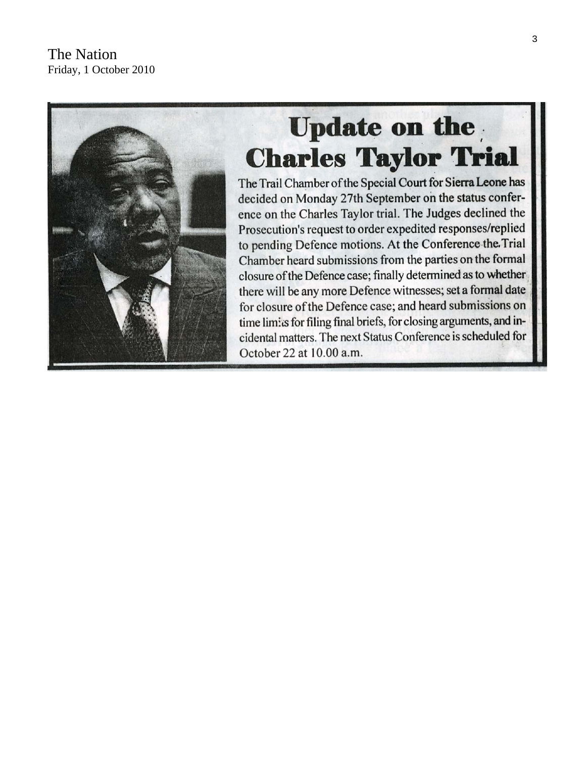

# **Update on the Charles Taylor Trial**

The Trail Chamber of the Special Court for Sierra Leone has decided on Monday 27th September on the status conference on the Charles Taylor trial. The Judges declined the Prosecution's request to order expedited responses/replied to pending Defence motions. At the Conference the Trial Chamber heard submissions from the parties on the formal closure of the Defence case; finally determined as to whether there will be any more Defence witnesses; set a formal date for closure of the Defence case; and heard submissions on time limits for filing final briefs, for closing arguments, and incidental matters. The next Status Conference is scheduled for October 22 at 10.00 a.m.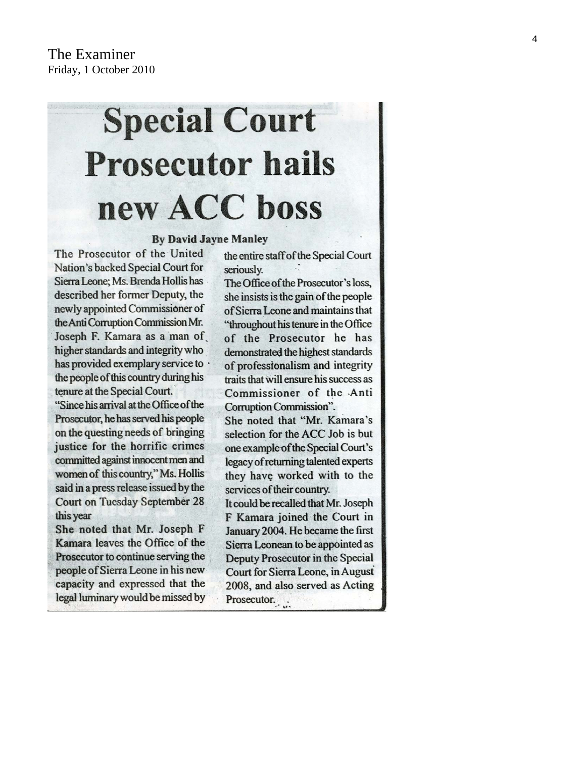# **Special Court Prosecutor hails** new ACC boss

#### **By David Jayne Manley**

The Prosecutor of the United Nation's backed Special Court for Sierra Leone; Ms. Brenda Hollis has described her former Deputy, the newly appointed Commissioner of the Anti Corruption Commission Mr. Joseph F. Kamara as a man of higher standards and integrity who has provided exemplary service to the people of this country during his tenure at the Special Court.

"Since his arrival at the Office of the Prosecutor, he has served his people on the questing needs of bringing justice for the horrific crimes committed against innocent men and women of this country," Ms. Hollis said in a press release issued by the **Court on Tuesday September 28** this year

She noted that Mr. Joseph F Kamara leaves the Office of the Prosecutor to continue serving the people of Sierra Leone in his new capacity and expressed that the legal luminary would be missed by

the entire staff of the Special Court seriously.

The Office of the Prosecutor's loss, she insists is the gain of the people of Sierra Leone and maintains that "throughout his tenure in the Office" of the Prosecutor he has demonstrated the highest standards of professionalism and integrity traits that will ensure his success as Commissioner of the Anti **Corruption Commission".** 

She noted that "Mr. Kamara's selection for the ACC Job is but one example of the Special Court's legacy of returning talented experts they have worked with to the services of their country.

It could be recalled that Mr. Joseph F Kamara joined the Court in January 2004. He became the first Sierra Leonean to be appointed as Deputy Prosecutor in the Special Court for Sierra Leone, in August 2008, and also served as Acting Prosecutor.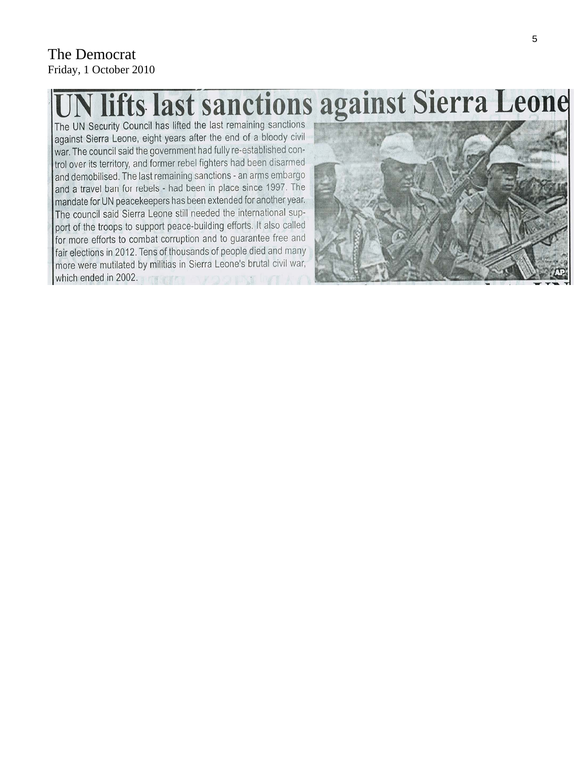# N lifts last sanctions against Sierra Leone

The UN Security Council has lifted the last remaining sanctions against Sierra Leone, eight years after the end of a bloody civil war. The council said the government had fully re-established control over its territory, and former rebel fighters had been disarmed and demobilised. The last remaining sanctions - an arms embargo and a travel ban for rebels - had been in place since 1997. The mandate for UN peacekeepers has been extended for another year. The council said Sierra Leone still needed the international support of the troops to support peace-building efforts. It also called for more efforts to combat corruption and to guarantee free and fair elections in 2012. Tens of thousands of people died and many more were mutilated by militias in Sierra Leone's brutal civil war, which ended in 2002.

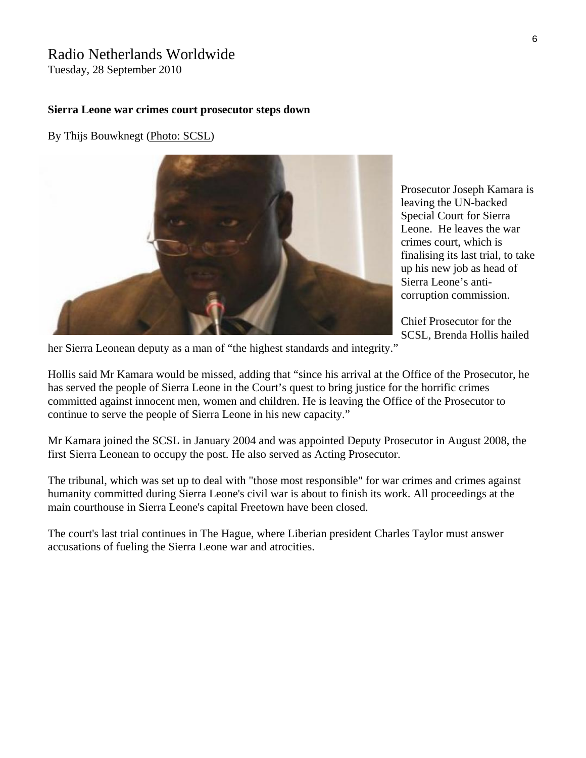### Radio Netherlands Worldwide

Tuesday, 28 September 2010

#### **Sierra Leone war crimes court prosecutor steps down**

By [Thijs Bouwknegt](http://www.rnw.nl/international-justice/users/thijs-bouwknegt) ([Photo: SCSL](http://www.internationaljustice.nl/))



Prosecutor Joseph Kamara is leaving the UN-backed Special Court for Sierra Leone. He leaves the war crimes court, which is finalising its last trial, to take up his new job as head of Sierra Leone's anticorruption commission.

Chief Prosecutor for the SCSL, Brenda Hollis hailed

her Sierra Leonean deputy as a man of "the highest standards and integrity."

Hollis said Mr Kamara would be missed, adding that "since his arrival at the Office of the Prosecutor, he has served the people of Sierra Leone in the Court's quest to bring justice for the horrific crimes committed against innocent men, women and children. He is leaving the Office of the Prosecutor to continue to serve the people of Sierra Leone in his new capacity."

Mr Kamara joined the SCSL in January 2004 and was appointed Deputy Prosecutor in August 2008, the first Sierra Leonean to occupy the post. He also served as Acting Prosecutor.

The tribunal, which was set up to deal with "those most responsible" for war crimes and crimes against humanity committed during Sierra Leone's civil war is about to finish its work. All proceedings at the main courthouse in Sierra Leone's capital Freetown have been closed.

The court's last trial continues in The Hague, where Liberian president Charles Taylor must answer accusations of fueling the Sierra Leone war and atrocities.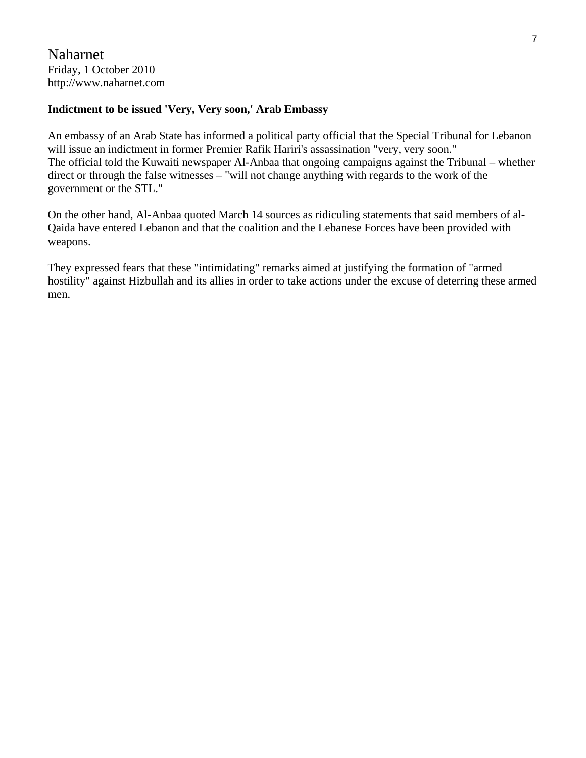#### **Indictment to be issued 'Very, Very soon,' Arab Embassy**

An embassy of an Arab State has informed a political party official that the Special Tribunal for Lebanon will issue an indictment in former Premier Rafik Hariri's assassination "very, very soon." The official told the Kuwaiti newspaper Al-Anbaa that ongoing campaigns against the Tribunal – whether direct or through the false witnesses – "will not change anything with regards to the work of the government or the STL."

On the other hand, Al-Anbaa quoted March 14 sources as ridiculing statements that said members of al-Qaida have entered Lebanon and that the coalition and the Lebanese Forces have been provided with weapons.

They expressed fears that these "intimidating" remarks aimed at justifying the formation of "armed hostility" against Hizbullah and its allies in order to take actions under the excuse of deterring these armed men.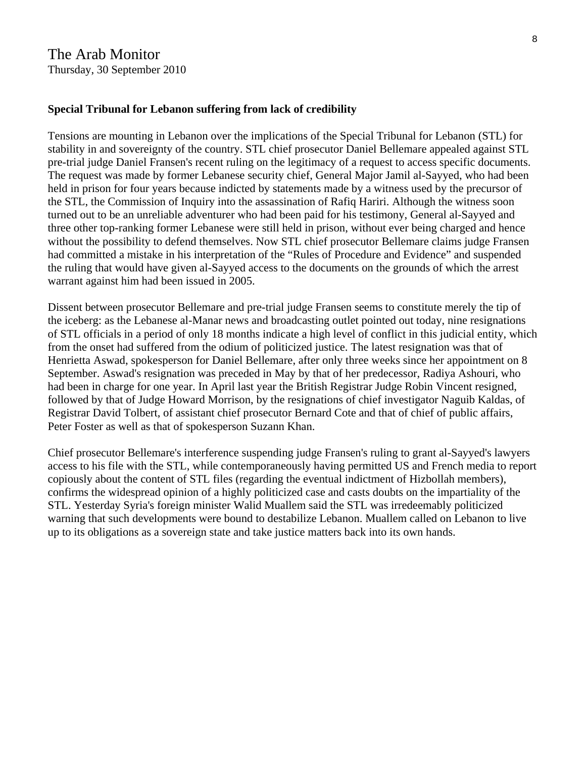#### **Special Tribunal for Lebanon suffering from lack of credibility**

Tensions are mounting in Lebanon over the implications of the Special Tribunal for Lebanon (STL) for stability in and sovereignty of the country. STL chief prosecutor Daniel Bellemare appealed against STL pre-trial judge Daniel Fransen's recent ruling on the legitimacy of a request to access specific documents. The request was made by former Lebanese security chief, General Major Jamil al-Sayyed, who had been held in prison for four years because indicted by statements made by a witness used by the precursor of the STL, the Commission of Inquiry into the assassination of Rafiq Hariri. Although the witness soon turned out to be an unreliable adventurer who had been paid for his testimony, General al-Sayyed and three other top-ranking former Lebanese were still held in prison, without ever being charged and hence without the possibility to defend themselves. Now STL chief prosecutor Bellemare claims judge Fransen had committed a mistake in his interpretation of the "Rules of Procedure and Evidence" and suspended the ruling that would have given al-Sayyed access to the documents on the grounds of which the arrest warrant against him had been issued in 2005.

Dissent between prosecutor Bellemare and pre-trial judge Fransen seems to constitute merely the tip of the iceberg: as the Lebanese al-Manar news and broadcasting outlet pointed out today, nine resignations of STL officials in a period of only 18 months indicate a high level of conflict in this judicial entity, which from the onset had suffered from the odium of politicized justice. The latest resignation was that of Henrietta Aswad, spokesperson for Daniel Bellemare, after only three weeks since her appointment on 8 September. Aswad's resignation was preceded in May by that of her predecessor, Radiya Ashouri, who had been in charge for one year. In April last year the British Registrar Judge Robin Vincent resigned, followed by that of Judge Howard Morrison, by the resignations of chief investigator Naguib Kaldas, of Registrar David Tolbert, of assistant chief prosecutor Bernard Cote and that of chief of public affairs, Peter Foster as well as that of spokesperson Suzann Khan.

Chief prosecutor Bellemare's interference suspending judge Fransen's ruling to grant al-Sayyed's lawyers access to his file with the STL, while contemporaneously having permitted US and French media to report copiously about the content of STL files (regarding the eventual indictment of Hizbollah members), confirms the widespread opinion of a highly politicized case and casts doubts on the impartiality of the STL. Yesterday Syria's foreign minister Walid Muallem said the STL was irredeemably politicized warning that such developments were bound to destabilize Lebanon. Muallem called on Lebanon to live up to its obligations as a sovereign state and take justice matters back into its own hands.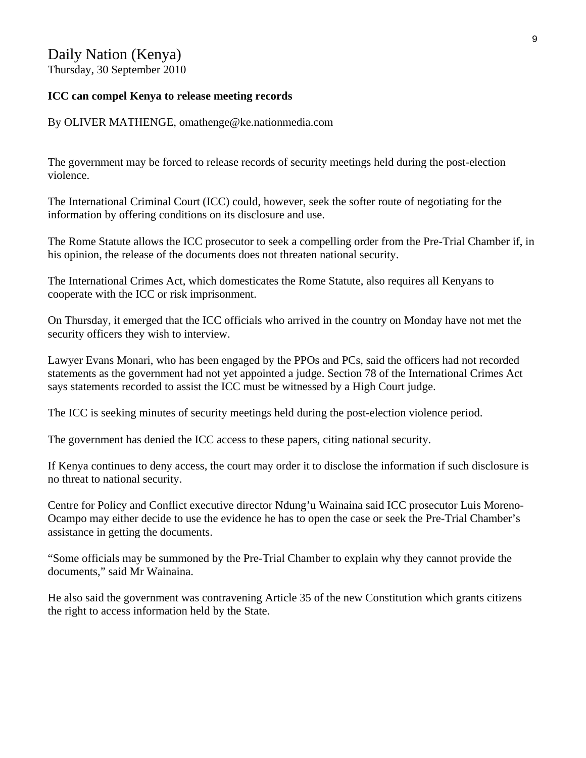## Daily Nation (Kenya)

Thursday, 30 September 2010

#### **ICC can compel Kenya to release meeting records**

By OLIVER MATHENGE, omathenge@ke.nationmedia.com

The government may be forced to release records of security meetings held during the post-election violence.

The International Criminal Court (ICC) could, however, seek the softer route of negotiating for the information by offering conditions on its disclosure and use.

The Rome Statute allows the ICC prosecutor to seek a compelling order from the Pre-Trial Chamber if, in his opinion, the release of the documents does not threaten national security.

The International Crimes Act, which domesticates the Rome Statute, also requires all Kenyans to cooperate with the ICC or risk imprisonment.

On Thursday, it emerged that the ICC officials who arrived in the country on Monday have not met the security officers they wish to interview.

Lawyer Evans Monari, who has been engaged by the PPOs and PCs, said the officers had not recorded statements as the government had not yet appointed a judge. Section 78 of the International Crimes Act says statements recorded to assist the ICC must be witnessed by a High Court judge.

The ICC is seeking minutes of security meetings held during the post-election violence period.

The government has denied the ICC access to these papers, citing national security.

If Kenya continues to deny access, the court may order it to disclose the information if such disclosure is no threat to national security.

Centre for Policy and Conflict executive director Ndung'u Wainaina said ICC prosecutor Luis Moreno-Ocampo may either decide to use the evidence he has to open the case or seek the Pre-Trial Chamber's assistance in getting the documents.

"Some officials may be summoned by the Pre-Trial Chamber to explain why they cannot provide the documents," said Mr Wainaina.

He also said the government was contravening Article 35 of the new Constitution which grants citizens the right to access information held by the State.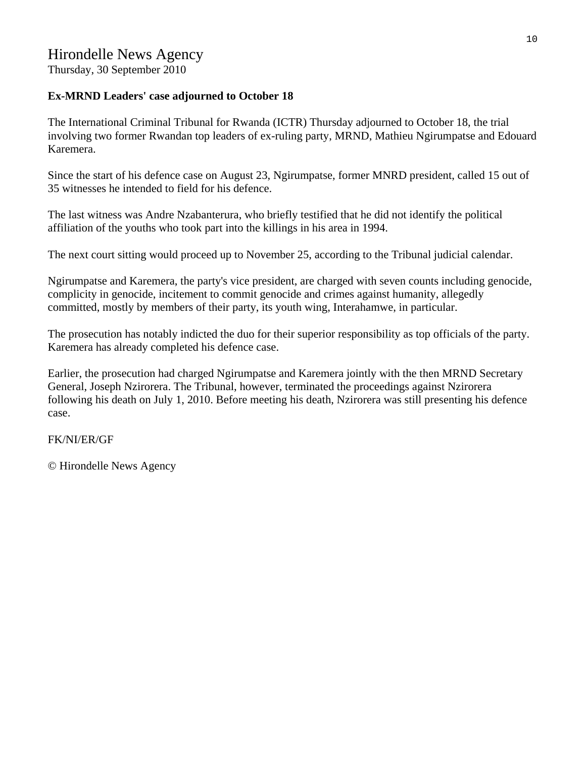Thursday, 30 September 2010

### **Ex-MRND Leaders' case adjourned to October 18**

The International Criminal Tribunal for Rwanda (ICTR) Thursday adjourned to October 18, the trial involving two former Rwandan top leaders of ex-ruling party, MRND, Mathieu Ngirumpatse and Edouard Karemera.

Since the start of his defence case on August 23, Ngirumpatse, former MNRD president, called 15 out of 35 witnesses he intended to field for his defence.

The last witness was Andre Nzabanterura, who briefly testified that he did not identify the political affiliation of the youths who took part into the killings in his area in 1994.

The next court sitting would proceed up to November 25, according to the Tribunal judicial calendar.

Ngirumpatse and Karemera, the party's vice president, are charged with seven counts including genocide, complicity in genocide, incitement to commit genocide and crimes against humanity, allegedly committed, mostly by members of their party, its youth wing, Interahamwe, in particular.

The prosecution has notably indicted the duo for their superior responsibility as top officials of the party. Karemera has already completed his defence case.

Earlier, the prosecution had charged Ngirumpatse and Karemera jointly with the then MRND Secretary General, Joseph Nzirorera. The Tribunal, however, terminated the proceedings against Nzirorera following his death on July 1, 2010. Before meeting his death, Nzirorera was still presenting his defence case.

#### FK/NI/ER/GF

© Hirondelle News Agency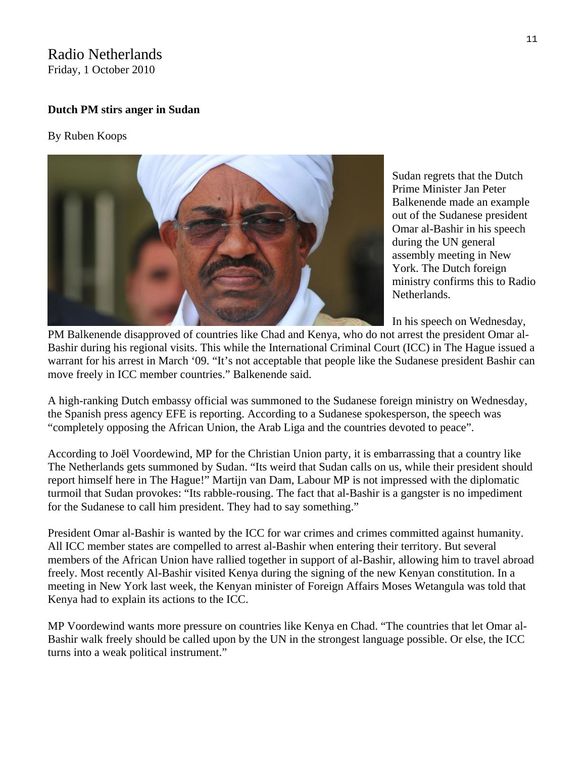### Radio Netherlands Friday, 1 October 2010

#### **Dutch PM stirs anger in Sudan**

#### By [Ruben Koops](http://www.rnw.nl/africa/users/ruben-koops)



Sudan regrets that the Dutch Prime Minister Jan Peter Balkenende made an example out of the Sudanese president Omar al-Bashir in his speech during the UN general assembly meeting in New York. The Dutch foreign ministry confirms this to Radio Netherlands.

In his speech on Wednesday,

PM Balkenende disapproved of countries like Chad and Kenya, who do not arrest the president Omar al-Bashir during his regional visits. This while the International Criminal Court (ICC) in The Hague issued a warrant for his arrest in March '09. "It's not acceptable that people like the Sudanese president Bashir can move freely in ICC member countries." Balkenende said.

A high-ranking Dutch embassy official was summoned to the Sudanese foreign ministry on Wednesday, the Spanish press agency EFE is reporting. According to a Sudanese spokesperson, the speech was "completely opposing the African Union, the Arab Liga and the countries devoted to peace".

According to Joël Voordewind, MP for the Christian Union party, it is embarrassing that a country like The Netherlands gets summoned by Sudan. "Its weird that Sudan calls on us, while their president should report himself here in The Hague!" Martijn van Dam, Labour MP is not impressed with the diplomatic turmoil that Sudan provokes: "Its rabble-rousing. The fact that al-Bashir is a gangster is no impediment for the Sudanese to call him president. They had to say something."

President Omar al-Bashir is wanted by the ICC for war crimes and crimes committed against humanity. All ICC member states are compelled to arrest al-Bashir when entering their territory. But several members of the African Union have rallied together in support of al-Bashir, allowing him to travel abroad freely. Most recently Al-Bashir visited Kenya during the signing of the new Kenyan constitution. In a meeting in New York last week, the Kenyan minister of Foreign Affairs Moses Wetangula was told that Kenya had to explain its actions to the ICC.

MP Voordewind wants more pressure on countries like Kenya en Chad. "The countries that let Omar al-Bashir walk freely should be called upon by the UN in the strongest language possible. Or else, the ICC turns into a weak political instrument."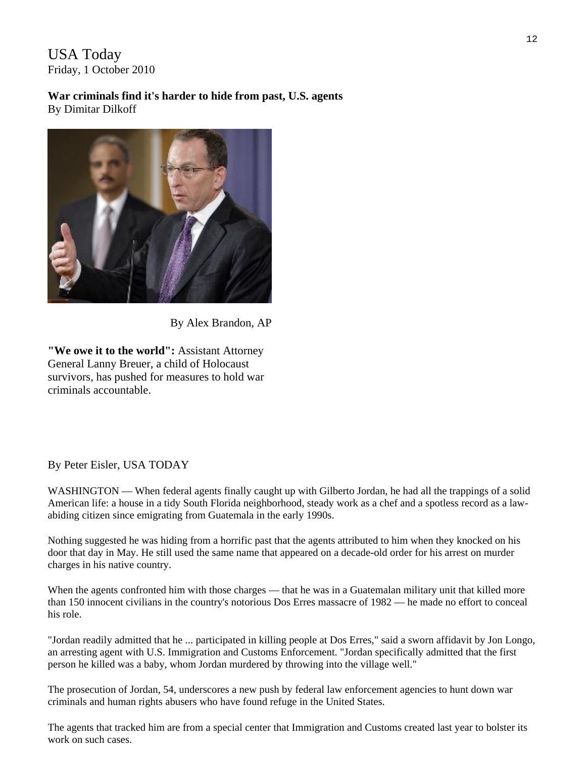USA Today Friday, 1 October 2010

**War criminals find it's harder to hide from past, U.S. agents**  By Dimitar Dilkoff



By Alex Brandon, AP

**"We owe it to the world":** Assistant Attorney General Lanny Breuer, a child of Holocaust survivors, has pushed for measures to hold war criminals accountable.

#### By Peter Eisler, USA TODAY

WASHINGTON — When federal agents finally caught up with Gilberto Jordan, he had all the trappings of a solid - American life: a house in a tidy South Florida neighborhood, steady work as a chef and a spotless record as a law abiding citizen since emigrating from Guatemala in the early 1990s.

Nothing suggested he was hiding from a horrific past that the agents attributed to him when they knocked on his door that day in May. He still used the same name that appeared on a decade-old order for his arrest on murder charges in his native country.

When the agents confronted him with those charges — that he was in a Guatemalan military unit that killed more than 150 innocent civilians in the country's notorious Dos Erres massacre of 1982 — he made no effort to conceal his role.

"Jordan readily admitted that he ... participated in killing people at Dos Erres," said a sworn affidavit by Jon Longo, an arresting agent with U.S. Immigration and Customs Enforcement. "Jordan specifically admitted that the first person he killed was a baby, whom Jordan murdered by throwing into the village well."

The prosecution of Jordan, 54, underscores a new push by federal law enforcement agencies to hunt down war criminals and human rights abusers who have found refuge in the United States.

The agents that tracked him are from a special center that Immigration and Customs created last year to bolster its work on such cases.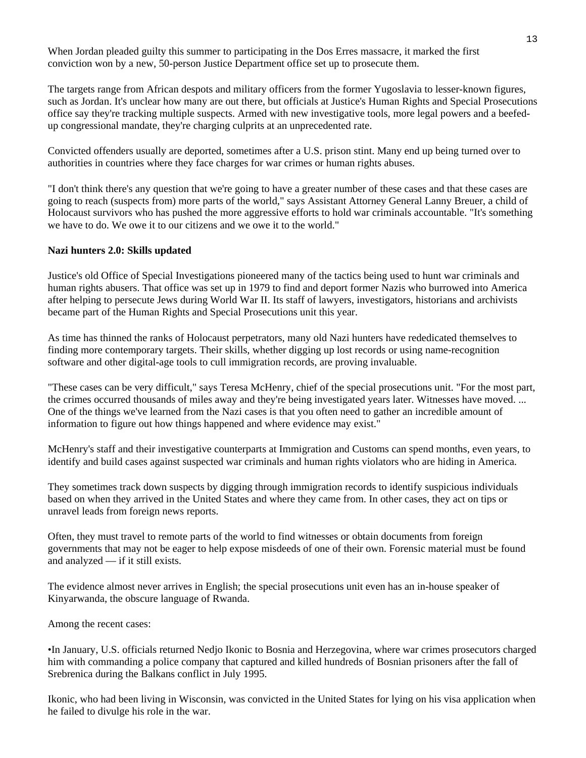When Jordan pleaded guilty this summer to participating in the Dos Erres massacre, it marked the first conviction won by a new, 50-person Justice Department office set up to prosecute them.

The targets range from African despots and military officers from the former Yugoslavia to lesser-known figures, such as Jordan. It's unclear how many are out there, but officials at Justice's Human Rights and Special Prosecutions office say they're tracking multiple suspects. Armed with new investigative tools, more legal powers and a beefedup congressional mandate, they're charging culprits at an unprecedented rate.

Convicted offenders usually are deported, sometimes after a U.S. prison stint. Many end up being turned over to authorities in countries where they face charges for war crimes or human rights abuses.

"I don't think there's any question that we're going to have a greater number of these cases and that these cases are going to reach (suspects from) more parts of the world," says Assistant Attorney General Lanny Breuer, a child of [Holocaust](http://content.usatoday.com/topics/topic/Events+and+Awards/War/The+Holocaust) survivors who has pushed the more aggressive efforts to hold war criminals accountable. "It's something we have to do. We owe it to our citizens and we owe it to the world."

#### **Nazi hunters 2.0: Skills updated**

Justice's old Office of Special Investigations pioneered many of the tactics being used to hunt war criminals and human rights abusers. That office was set up in 1979 to find and deport former Nazis who burrowed into America after helping to persecute Jews during [World War II.](http://content.usatoday.com/topics/topic/Events+and+Awards/War/World+War+II) Its staff of lawyers, investigators, historians and archivists became part of the Human Rights and Special Prosecutions unit this year.

As time has thinned the ranks of Holocaust perpetrators, many old Nazi hunters have rededicated themselves to finding more contemporary targets. Their skills, whether digging up lost records or using name-recognition software and other digital-age tools to cull immigration records, are proving invaluable.

"These cases can be very difficult," says Teresa McHenry, chief of the special prosecutions unit. "For the most part, the crimes occurred thousands of miles away and they're being investigated years later. Witnesses have moved. ... One of the things we've learned from the Nazi cases is that you often need to gather an incredible amount of information to figure out how things happened and where evidence may exist."

McHenry's staff and their investigative counterparts at Immigration and Customs can spend months, even years, to identify and build cases against suspected war criminals and human rights violators who are hiding in America.

They sometimes track down suspects by digging through immigration records to identify suspicious individuals based on when they arrived in the United States and where they came from. In other cases, they act on tips or unravel leads from foreign news reports.

Often, they must travel to remote parts of the world to find witnesses or obtain documents from foreign governments that may not be eager to help expose misdeeds of one of their own. Forensic material must be found and analyzed — if it still exists.

The evidence almost never arrives in English; the special prosecutions unit even has an in-house speaker of Kinyarwanda, the obscure language of Rwanda.

Among the recent cases:

•In January, U.S. officials returned Nedjo Ikonic to Bosnia and Herzegovina, where war crimes prosecutors charged him with commanding a police company that captured and killed hundreds of Bosnian prisoners after the [fall of](http://content.usatoday.com/topics/topic/Srebrenica+massacre)  [Srebrenica](http://content.usatoday.com/topics/topic/Srebrenica+massacre) during the Balkans conflict in July 1995.

Ikonic, who had been living in Wisconsin, was convicted in the United States for lying on his visa application when he failed to divulge his role in the war.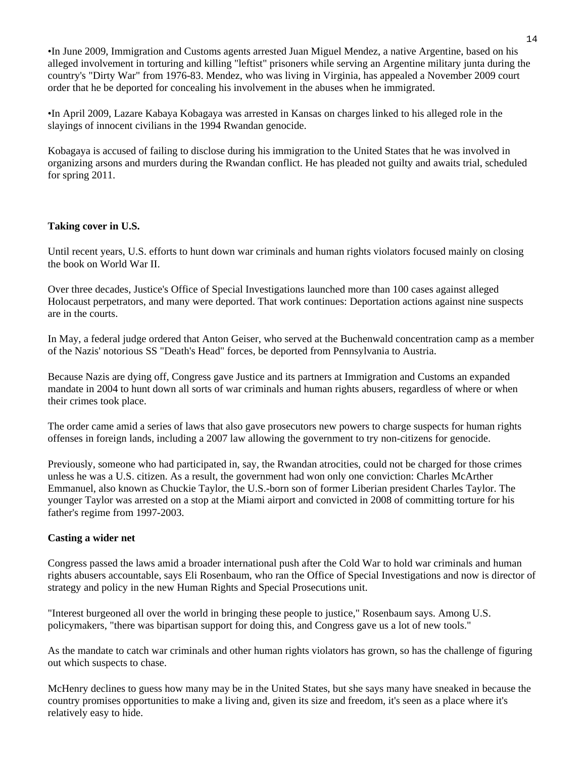•In June 2009, Immigration and Customs agents arrested Juan Miguel Mendez, a native Argentine, based on his alleged involvement in torturing and killing "leftist" prisoners while serving an Argentine military junta during the country's "Dirty War" from 1976-83. Mendez, who was living in Virginia, has appealed a November 2009 court order that he be deported for concealing his involvement in the abuses when he immigrated.

•In April 2009, Lazare Kabaya Kobagaya was arrested in Kansas on charges linked to his alleged role in the slayings of innocent civilians in the 1994 Rwandan genocide.

Kobagaya is accused of failing to disclose during his immigration to the United States that he was involved in organizing arsons and murders during the Rwandan conflict. He has pleaded not guilty and awaits trial, scheduled for spring 2011.

#### **Taking cover in U.S.**

Until recent years, U.S. efforts to hunt down war criminals and human rights violators focused mainly on closing the book on World War II.

Over three decades, Justice's Office of Special Investigations launched more than 100 cases against alleged Holocaust perpetrators, and many were deported. That work continues: Deportation actions against nine suspects are in the courts.

In May, a federal judge ordered that Anton Geiser, who served at the Buchenwald concentration camp as a member of the Nazis' notorious SS "Death's Head" forces, be deported from Pennsylvania to Austria.

Because Nazis are dying off, Congress gave Justice and its partners at Immigration and Customs an expanded mandate in 2004 to hunt down all sorts of war criminals and human rights abusers, regardless of where or when their crimes took place.

The order came amid a series of laws that also gave prosecutors new powers to charge suspects for human rights offenses in foreign lands, including a 2007 law allowing the government to try non-citizens for genocide.

Previously, someone who had participated in, say, the Rwandan atrocities, could not be charged for those crimes unless he was a U.S. citizen. As a result, the government had won only one conviction: Charles McArther Emmanuel, also known as Chuckie Taylor, the U.S.-born son of former Liberian president [Charles Taylor](http://content.usatoday.com/topics/topic/People/Politicians,+Government+Officials,+Strategists/World+Leaders/Charles+Taylor). The younger Taylor was arrested on a stop at the Miami airport and convicted in 2008 of committing torture for his father's regime from 1997-2003.

#### **Casting a wider net**

Congress passed the laws amid a broader international push after the Cold War to hold war criminals and human rights abusers accountable, says [Eli Rosenbaum,](http://content.usatoday.com/topics/topic/Eli+Rosenbaum) who ran the Office of Special Investigations and now is director of strategy and policy in the new Human Rights and Special Prosecutions unit.

"Interest burgeoned all over the world in bringing these people to justice," Rosenbaum says. Among U.S. policymakers, "there was bipartisan support for doing this, and Congress gave us a lot of new tools."

As the mandate to catch war criminals and other human rights violators has grown, so has the challenge of figuring out which suspects to chase.

McHenry declines to guess how many may be in the United States, but she says many have sneaked in because the country promises opportunities to make a living and, given its size and freedom, it's seen as a place where it's relatively easy to hide.